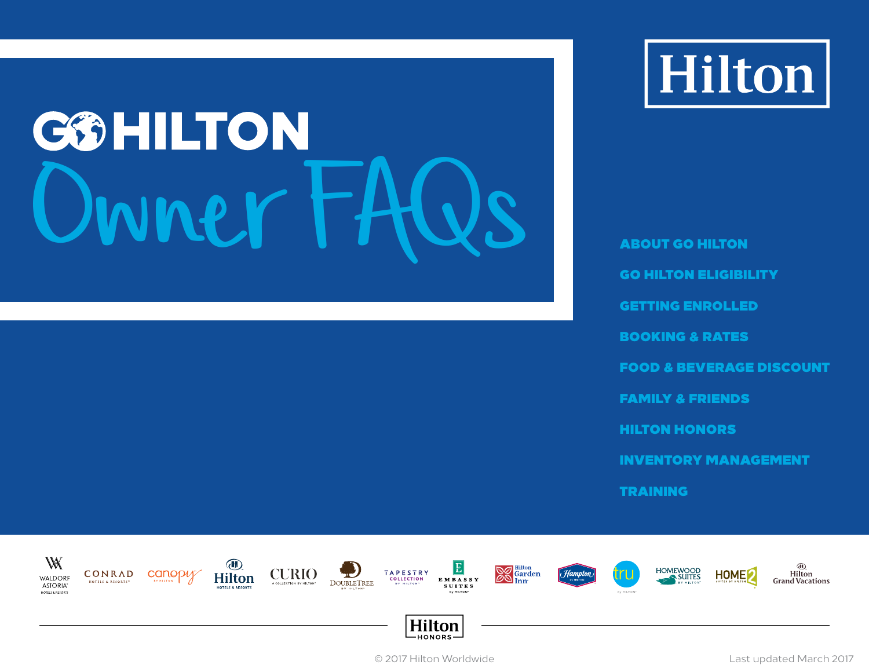# Owner FAQs

Hilton

ABOUT GO HILTON<br>GO HILTON ELIGIBILITY<br>GETTING ENROLLED<br>BOOKING & RATES<br>FOOD & BEVERAGE DISCOUNT<br>FAMILY & FRIENDS<br>HILTON HONORS<br>INVENTORY MANAGEMENT<br>TRAINING



© 2017 Hilton Worldwide **Last updated March 2017** CONDITION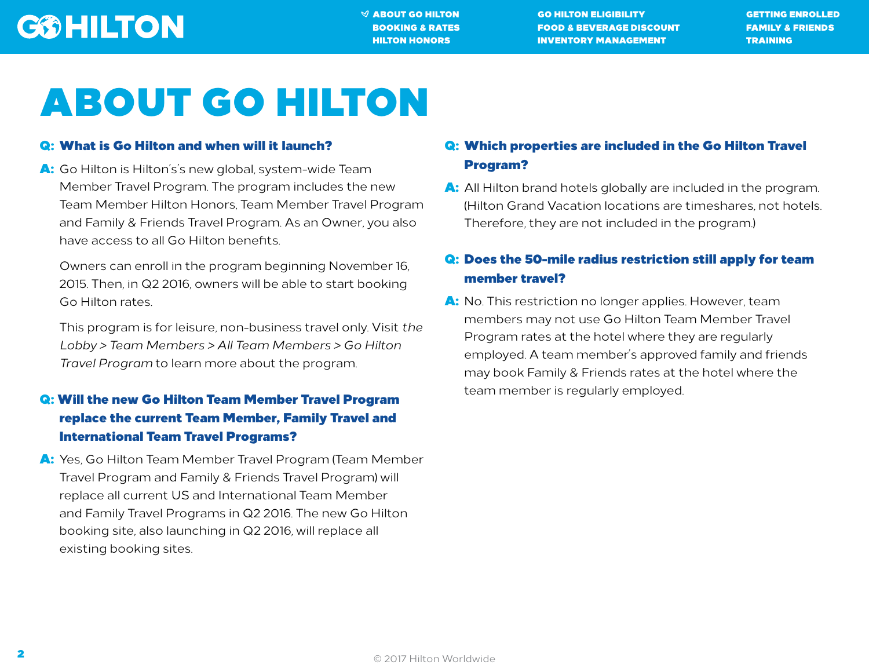$\mathcal A$  about go hilton go hilton eligibility and cetting enrolled [BOOKING & RATES](#page-4-0) [FOOD & BEVERAGE DISCOUNT](#page-11-0) [FAMILY & FRIENDS](#page-13-0) [HILTON HONORS](#page-16-0) [INVENTORY MANAGEMENT](#page-18-0) [TRAINING](#page-22-0)

# <span id="page-1-0"></span>ABOUT GO HILTON

### Q: What is Go Hilton and when will it launch?

A: Go Hilton is Hilton's's new global, system-wide Team Member Travel Program. The program includes the new Team Member Hilton Honors, Team Member Travel Program and Family & Friends Travel Program. As an Owner, you also have access to all Go Hilton benefits.

Owners can enroll in the program beginning November 16, 2015. Then, in Q2 2016, owners will be able to start booking Go Hilton rates.

This program is for leisure, non-business travel only. Visit *the Lobby > Team Members > All Team Members > Go Hilton Travel Program* to learn more about the program.

### Q: Will the new Go Hilton Team Member Travel Program replace the current Team Member, Family Travel and International Team Travel Programs?

A: Yes, Go Hilton Team Member Travel Program (Team Member Travel Program and Family & Friends Travel Program) will replace all current US and International Team Member and Family Travel Programs in Q2 2016. The new Go Hilton booking site, also launching in Q2 2016, will replace all existing booking sites.

### Q: Which properties are included in the Go Hilton Travel Program?

A: All Hilton brand hotels globally are included in the program. (Hilton Grand Vacation locations are timeshares, not hotels. Therefore, they are not included in the program.)

### Q: Does the 50-mile radius restriction still apply for team member travel?

A: No. This restriction no longer applies. However, team members may not use Go Hilton Team Member Travel Program rates at the hotel where they are regularly employed. A team member's approved family and friends may book Family & Friends rates at the hotel where the team member is regularly employed.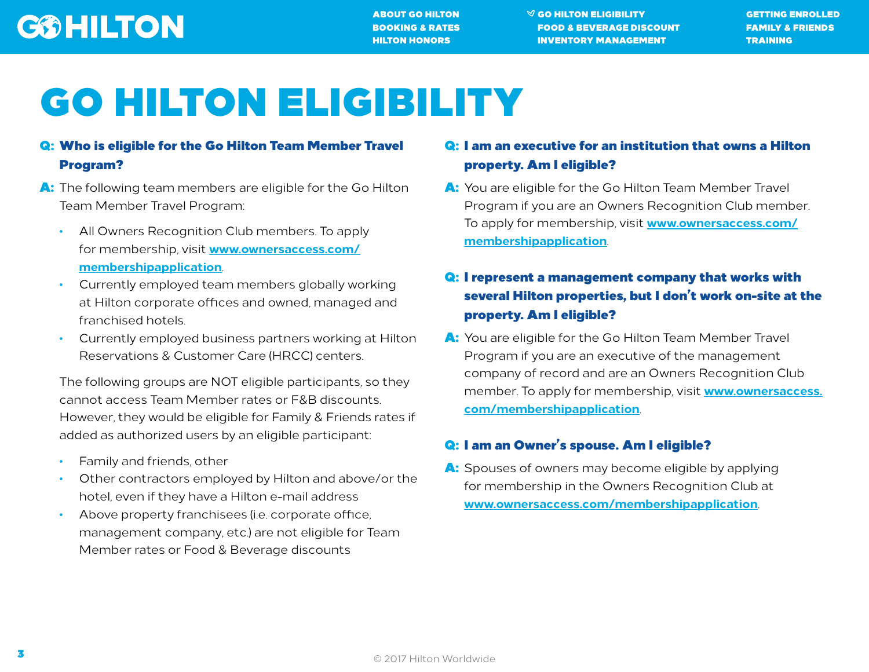[ABOUT GO HILTON](#page-1-0) [GO HILTON ELIGIBILITY](#page-2-0) [GETTING ENROLLED](#page-3-0) [BOOKING & RATES](#page-4-0) [FOOD & BEVERAGE DISCOUNT](#page-11-0) [FAMILY & FRIENDS](#page-13-0) [HILTON HONORS](#page-16-0) [INVENTORY MANAGEMENT](#page-18-0) [TRAINING](#page-22-0)

# <span id="page-2-0"></span>GO HILTON ELIGIBILITY

### Q: Who is eligible for the Go Hilton Team Member Travel Program?

- A: The following team members are eligible for the Go Hilton Team Member Travel Program:
	- All Owners Recognition Club members. To apply for membership, visit **[www.ownersaccess.com/](http://www.ownersaccess.com/membershipapplication) [membershipapplication](http://www.ownersaccess.com/membershipapplication)**.
	- Currently employed team members globally working at Hilton corporate offices and owned, managed and franchised hotels.
	- Currently employed business partners working at Hilton Reservations & Customer Care (HRCC) centers.

The following groups are NOT eligible participants, so they cannot access Team Member rates or F&B discounts. However, they would be eligible for Family & Friends rates if added as authorized users by an eligible participant:

- Family and friends, other
- Other contractors employed by Hilton and above/or the hotel, even if they have a Hilton e-mail address
- Above property franchisees (i.e. corporate office, management company, etc.) are not eligible for Team Member rates or Food & Beverage discounts

### Q: I am an executive for an institution that owns a Hilton property. Am I eligible?

A: You are eligible for the Go Hilton Team Member Travel Program if you are an Owners Recognition Club member. To apply for membership, visit **[www.ownersaccess.com/](http://www.ownersaccess.com/membershipapplication) [membershipapplication](http://www.ownersaccess.com/membershipapplication)**.

### Q: I represent a management company that works with several Hilton properties, but I don't work on-site at the property. Am I eligible?

A: You are eligible for the Go Hilton Team Member Travel Program if you are an executive of the management company of record and are an Owners Recognition Club member. To apply for membership, visit **[www.ownersaccess.](http://www.ownersaccess.com/membershipapplication) [com/membershipapplication](http://www.ownersaccess.com/membershipapplication)**.

### Q: I am an Owner's spouse. Am I eligible?

A: Spouses of owners may become eligible by applying for membership in the Owners Recognition Club at **[www.ownersaccess.com/membershipapplication](http://ownersservices.force.com/OwnersAccessApplication)**.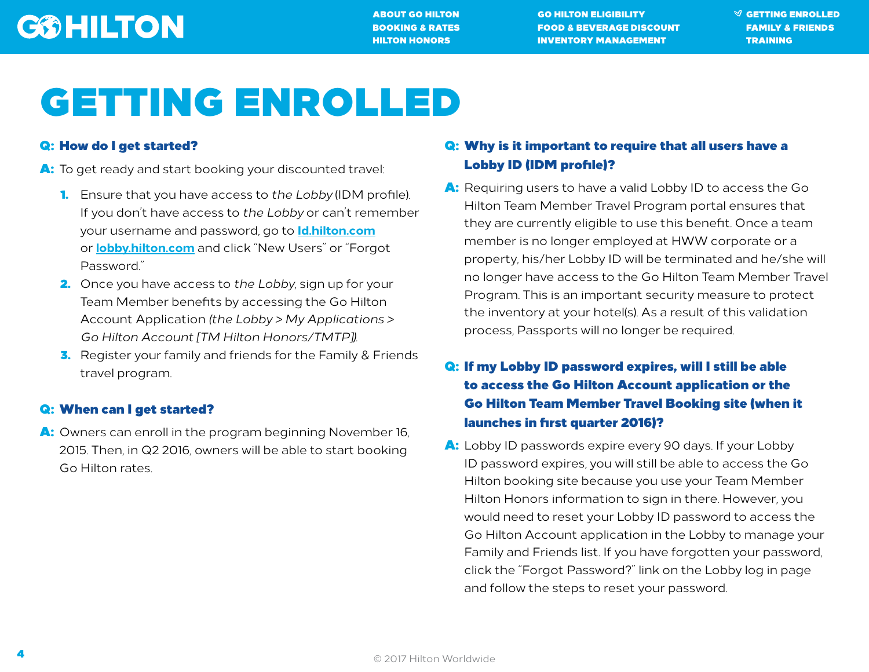[ABOUT GO HILTON](#page-1-0) [GO HILTON ELIGIBILITY](#page-2-0) [GETTING ENROLLED](#page-3-0) [BOOKING & RATES](#page-4-0) [FOOD & BEVERAGE DISCOUNT](#page-11-0) [FAMILY & FRIENDS](#page-13-0) **[HILTON HONORS](#page-16-0) [INVENTORY MANAGEMENT](#page-18-0) [TRAINING](#page-22-0)** 

# <span id="page-3-0"></span>GETTING ENROLLED

### Q: How do I get started?

- A: To get ready and start booking your discounted travel:
	- 1. Ensure that you have access to *the Lobby* (IDM profile). If you don't have access to *the Lobby* or can't remember your username and password, go to **[Id.hilton.com](https://id.hilton.com)** or **[lobby.hilton.com](https://lobby.hilton.com)** and click "New Users" or "Forgot Password."
	- 2. Once you have access to *the Lobby*, sign up for your Team Member benefits by accessing the Go Hilton Account Application *(the Lobby > My Applications > Go Hilton Account [TM Hilton Honors/TMTP])*.
	- **3.** Register your family and friends for the Family & Friends travel program.

### Q: When can I get started?

A: Owners can enroll in the program beginning November 16, 2015. Then, in Q2 2016, owners will be able to start booking Go Hilton rates.

### Q: Why is it important to require that all users have a Lobby ID (IDM profile)?

A: Requiring users to have a valid Lobby ID to access the Go Hilton Team Member Travel Program portal ensures that they are currently eligible to use this benefit. Once a team member is no longer employed at HWW corporate or a property, his/her Lobby ID will be terminated and he/she will no longer have access to the Go Hilton Team Member Travel Program. This is an important security measure to protect the inventory at your hotel(s). As a result of this validation process, Passports will no longer be required.

### Q: If my Lobby ID password expires, will I still be able to access the Go Hilton Account application or the Go Hilton Team Member Travel Booking site (when it launches in first quarter 2016)?

A: Lobby ID passwords expire every 90 days. If your Lobby ID password expires, you will still be able to access the Go Hilton booking site because you use your Team Member Hilton Honors information to sign in there. However, you would need to reset your Lobby ID password to access the Go Hilton Account application in the Lobby to manage your Family and Friends list. If you have forgotten your password, click the "Forgot Password?" link on the Lobby log in page and follow the steps to reset your password.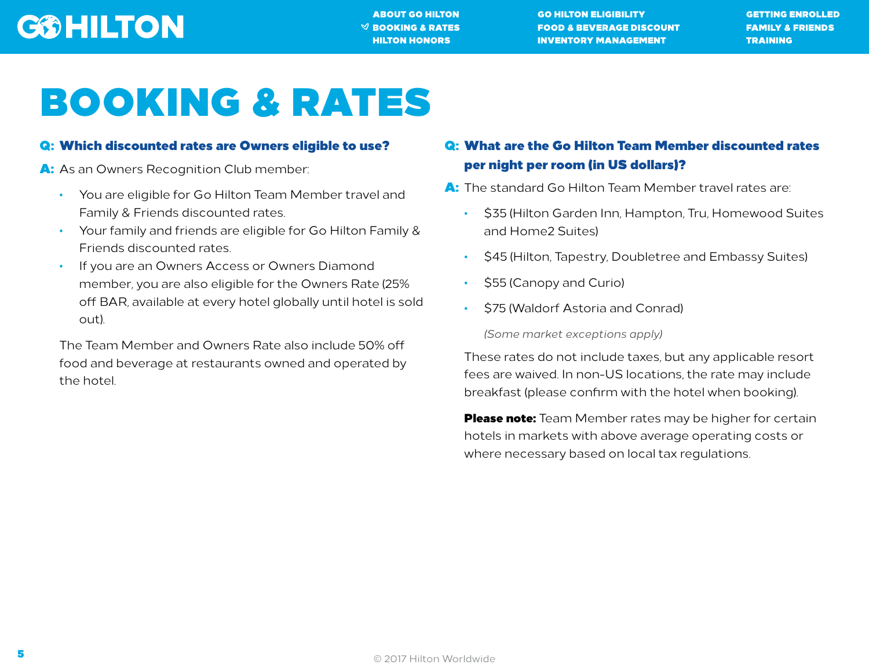[ABOUT GO HILTON](#page-1-0) [GO HILTON ELIGIBILITY](#page-2-0) [GETTING ENROLLED](#page-3-0)  $\heartsuit$  booking & rates food & beverage discount family & Friends [HILTON HONORS](#page-16-0) [INVENTORY MANAGEMENT](#page-18-0) [TRAINING](#page-22-0)

# <span id="page-4-0"></span>BOOKING & RATES

### Q: Which discounted rates are Owners eligible to use?

A: As an Owners Recognition Club member:

- You are eligible for Go Hilton Team Member travel and Family & Friends discounted rates.
- Your family and friends are eligible for Go Hilton Family & Friends discounted rates.
- If you are an Owners Access or Owners Diamond member, you are also eligible for the Owners Rate (25% off BAR, available at every hotel globally until hotel is sold out).

The Team Member and Owners Rate also include 50% off food and beverage at restaurants owned and operated by the hotel.

### Q: What are the Go Hilton Team Member discounted rates per night per room (in US dollars)?

A: The standard Go Hilton Team Member travel rates are:

- \$35 (Hilton Garden Inn, Hampton, Tru, Homewood Suites and Home2 Suites)
- \$45 (Hilton, Tapestry, Doubletree and Embassy Suites)
- \$55 (Canopy and Curio)
- \$75 (Waldorf Astoria and Conrad)

*(Some market exceptions apply)*

These rates do not include taxes, but any applicable resort fees are waived. In non-US locations, the rate may include breakfast (please confirm with the hotel when booking).

Please note: Team Member rates may be higher for certain hotels in markets with above average operating costs or where necessary based on local tax regulations.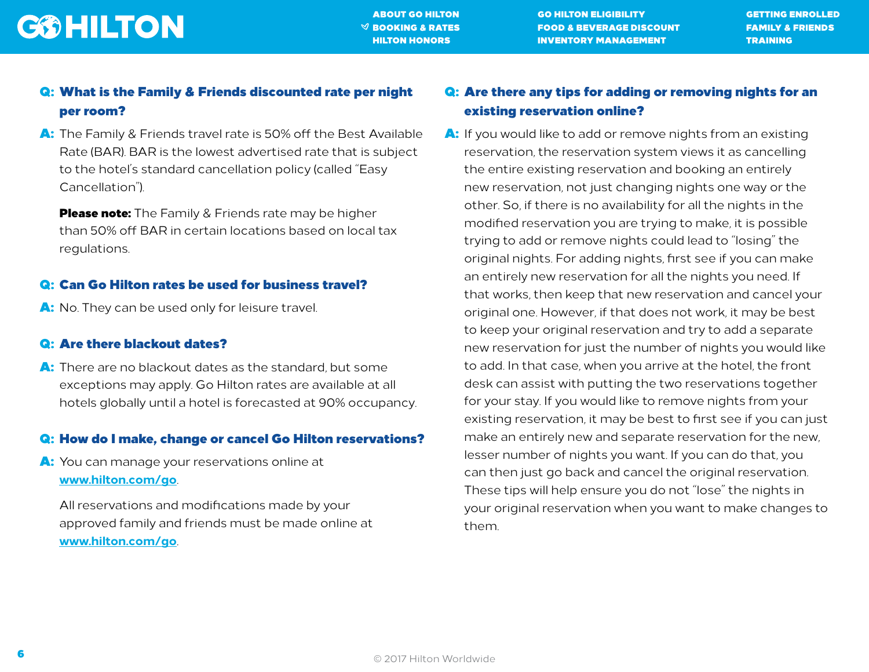[ABOUT GO HILTON](#page-1-0) [GO HILTON ELIGIBILITY](#page-2-0) [GETTING ENROLLED](#page-3-0)  $\heartsuit$  booking & rates food & beverage discount family & Friends **[HILTON HONORS](#page-16-0) [INVENTORY MANAGEMENT](#page-18-0) [TRAINING](#page-22-0)** 

### Q: What is the Family & Friends discounted rate per night per room?

A: The Family & Friends travel rate is 50% off the Best Available Rate (BAR). BAR is the lowest advertised rate that is subject to the hotel's standard cancellation policy (called "Easy Cancellation").

**Please note:** The Family & Friends rate may be higher than 50% off BAR in certain locations based on local tax regulations.

#### Q: Can Go Hilton rates be used for business travel?

A: No. They can be used only for leisure travel.

#### Q: Are there blackout dates?

A: There are no blackout dates as the standard, but some exceptions may apply. Go Hilton rates are available at all hotels globally until a hotel is forecasted at 90% occupancy.

#### Q: How do I make, change or cancel Go Hilton reservations?

A: You can manage your reservations online at **[www.hilton.com/go](http://www.hilton.com/go)**.

All reservations and modifications made by your approved family and friends must be made online at **[www.hilton.com/go](http://www.hilton.com/go)**.

### Q: Are there any tips for adding or removing nights for an existing reservation online?

A: If you would like to add or remove nights from an existing reservation, the reservation system views it as cancelling the entire existing reservation and booking an entirely new reservation, not just changing nights one way or the other. So, if there is no availability for all the nights in the modified reservation you are trying to make, it is possible trying to add or remove nights could lead to "losing" the original nights. For adding nights, first see if you can make an entirely new reservation for all the nights you need. If that works, then keep that new reservation and cancel your original one. However, if that does not work, it may be best to keep your original reservation and try to add a separate new reservation for just the number of nights you would like to add. In that case, when you arrive at the hotel, the front desk can assist with putting the two reservations together for your stay. If you would like to remove nights from your existing reservation, it may be best to first see if you can just make an entirely new and separate reservation for the new, lesser number of nights you want. If you can do that, you can then just go back and cancel the original reservation. These tips will help ensure you do not "lose" the nights in your original reservation when you want to make changes to them.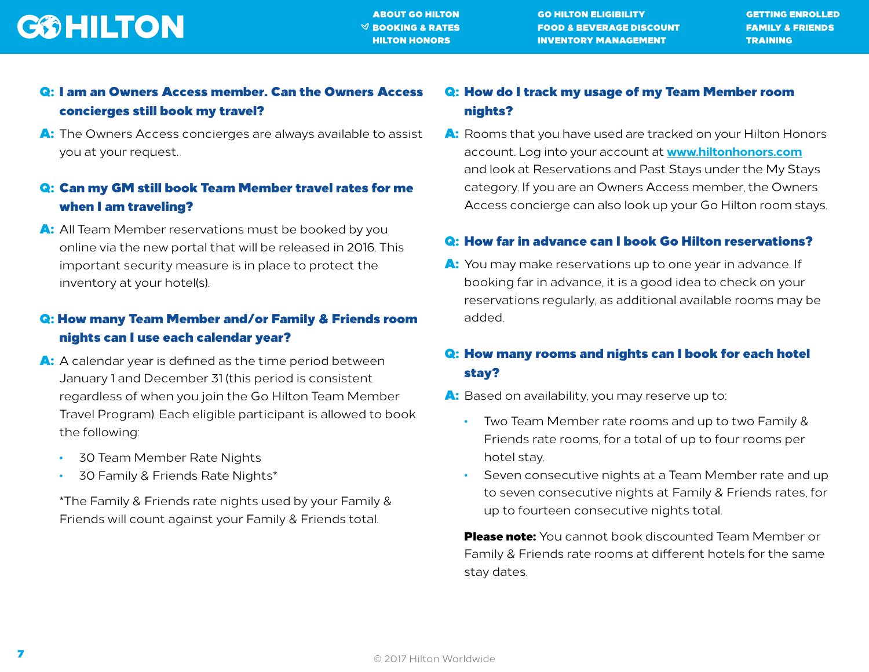

### Q: I am an Owners Access member. Can the Owners Access concierges still book my travel?

A: The Owners Access concierges are always available to assist you at your request.

### Q: Can my GM still book Team Member travel rates for me when I am traveling?

A: All Team Member reservations must be booked by you online via the new portal that will be released in 2016. This important security measure is in place to protect the inventory at your hotel(s).

### Q: How many Team Member and/or Family & Friends room nights can I use each calendar year?

- A: A calendar year is defined as the time period between January 1 and December 31 (this period is consistent regardless of when you join the Go Hilton Team Member Travel Program). Each eligible participant is allowed to book the following:
	- 30 Team Member Rate Nights
	- 30 Family & Friends Rate Nights\*

\*The Family & Friends rate nights used by your Family & Friends will count against your Family & Friends total.

### Q: How do I track my usage of my Team Member room nights?

A: Rooms that you have used are tracked on your Hilton Honors account. Log into your account at **[www.hiltonhonors.com](http://www.hiltonhonors.com)** and look at Reservations and Past Stays under the My Stays category. If you are an Owners Access member, the Owners Access concierge can also look up your Go Hilton room stays.

#### Q: How far in advance can I book Go Hilton reservations?

A: You may make reservations up to one year in advance. If booking far in advance, it is a good idea to check on your reservations regularly, as additional available rooms may be added.

### Q: How many rooms and nights can I book for each hotel stay?

- A: Based on availability, you may reserve up to:
	- Two Team Member rate rooms and up to two Family & Friends rate rooms, for a total of up to four rooms per hotel stay.
	- Seven consecutive nights at a Team Member rate and up to seven consecutive nights at Family & Friends rates, for up to fourteen consecutive nights total.

**Please note:** You cannot book discounted Team Member or Family & Friends rate rooms at different hotels for the same stay dates.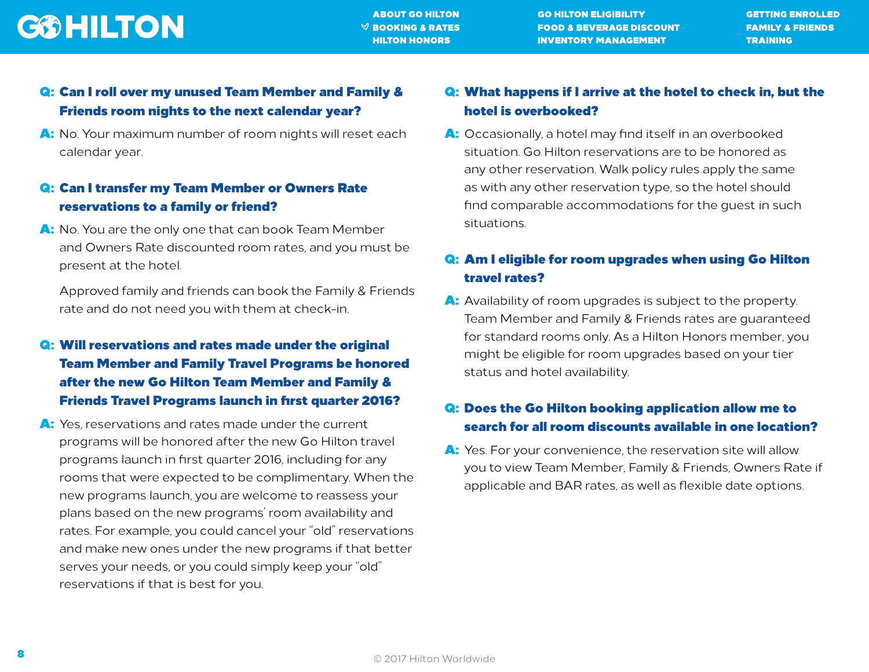

[ABOUT GO HILTON](#page-1-0) [GO HILTON ELIGIBILITY](#page-2-0) [GETTING ENROLLED](#page-3-0)  $\heartsuit$  booking & rates food & beverage discount family & Friends **[HILTON HONORS](#page-16-0) [INVENTORY MANAGEMENT](#page-18-0) [TRAINING](#page-22-0)** 

### Q: Can I roll over my unused Team Member and Family & Friends room nights to the next calendar year?

A: No. Your maximum number of room nights will reset each calendar year.

### Q: Can I transfer my Team Member or Owners Rate reservations to a family or friend?

A: No. You are the only one that can book Team Member and Owners Rate discounted room rates, and you must be present at the hotel.

Approved family and friends can book the Family & Friends rate and do not need you with them at check-in.

### Q: Will reservations and rates made under the original Team Member and Family Travel Programs be honored after the new Go Hilton Team Member and Family & Friends Travel Programs launch in first quarter 2016?

A: Yes, reservations and rates made under the current programs will be honored after the new Go Hilton travel programs launch in first quarter 2016, including for any rooms that were expected to be complimentary. When the new programs launch, you are welcome to reassess your plans based on the new programs' room availability and rates. For example, you could cancel your "old" reservations and make new ones under the new programs if that better serves your needs, or you could simply keep your "old" reservations if that is best for you.

### Q: What happens if I arrive at the hotel to check in, but the hotel is overbooked?

A: Occasionally, a hotel may find itself in an overbooked situation. Go Hilton reservations are to be honored as any other reservation. Walk policy rules apply the same as with any other reservation type, so the hotel should find comparable accommodations for the guest in such situations.

### Q: Am I eligible for room upgrades when using Go Hilton travel rates?

A: Availability of room upgrades is subject to the property. Team Member and Family & Friends rates are guaranteed for standard rooms only. As a Hilton Honors member, you might be eligible for room upgrades based on your tier status and hotel availability.

### Q: Does the Go Hilton booking application allow me to search for all room discounts available in one location?

A: Yes. For your convenience, the reservation site will allow you to view Team Member, Family & Friends, Owners Rate if applicable and BAR rates, as well as flexible date options.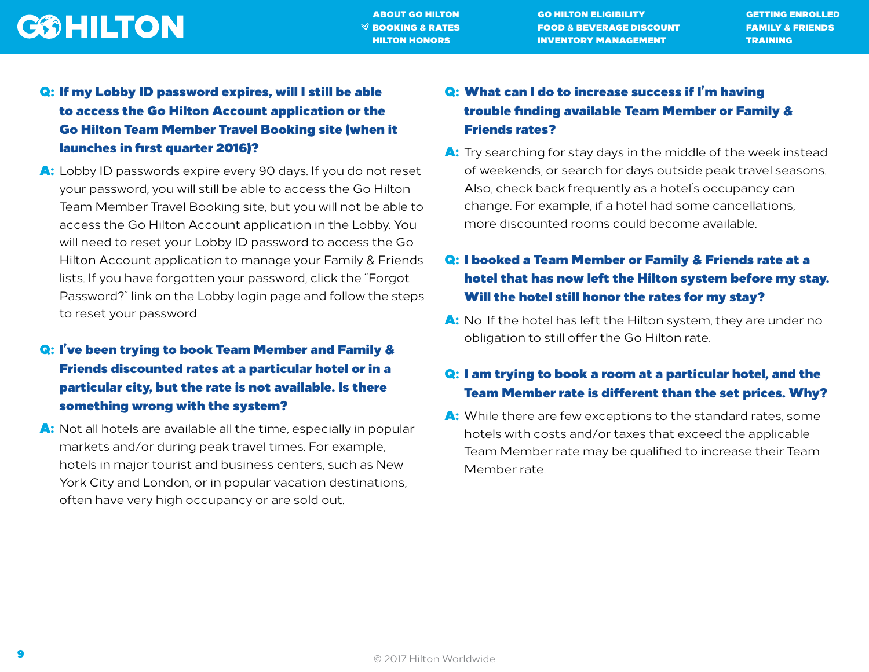[ABOUT GO HILTON](#page-1-0) [GO HILTON ELIGIBILITY](#page-2-0) [GETTING ENROLLED](#page-3-0)  $\heartsuit$  booking & rates food & beverage discount family & Friends [HILTON HONORS](#page-16-0) [INVENTORY MANAGEMENT](#page-18-0) [TRAINING](#page-22-0)

### Q: If my Lobby ID password expires, will I still be able to access the Go Hilton Account application or the Go Hilton Team Member Travel Booking site (when it launches in first quarter 2016)?

A: Lobby ID passwords expire every 90 days. If you do not reset your password, you will still be able to access the Go Hilton Team Member Travel Booking site, but you will not be able to access the Go Hilton Account application in the Lobby. You will need to reset your Lobby ID password to access the Go Hilton Account application to manage your Family & Friends lists. If you have forgotten your password, click the "Forgot Password?" link on the Lobby login page and follow the steps to reset your password.

### Q: I've been trying to book Team Member and Family & Friends discounted rates at a particular hotel or in a particular city, but the rate is not available. Is there something wrong with the system?

A: Not all hotels are available all the time, especially in popular markets and/or during peak travel times. For example, hotels in major tourist and business centers, such as New York City and London, or in popular vacation destinations, often have very high occupancy or are sold out.

### Q: What can I do to increase success if I'm having trouble finding available Team Member or Family & Friends rates?

A: Try searching for stay days in the middle of the week instead of weekends, or search for days outside peak travel seasons. Also, check back frequently as a hotel's occupancy can change. For example, if a hotel had some cancellations, more discounted rooms could become available.

### Q: I booked a Team Member or Family & Friends rate at a hotel that has now left the Hilton system before my stay. Will the hotel still honor the rates for my stay?

A: No. If the hotel has left the Hilton system, they are under no obligation to still offer the Go Hilton rate.

### Q: I am trying to book a room at a particular hotel, and the Team Member rate is different than the set prices. Why?

A: While there are few exceptions to the standard rates, some hotels with costs and/or taxes that exceed the applicable Team Member rate may be qualified to increase their Team Member rate.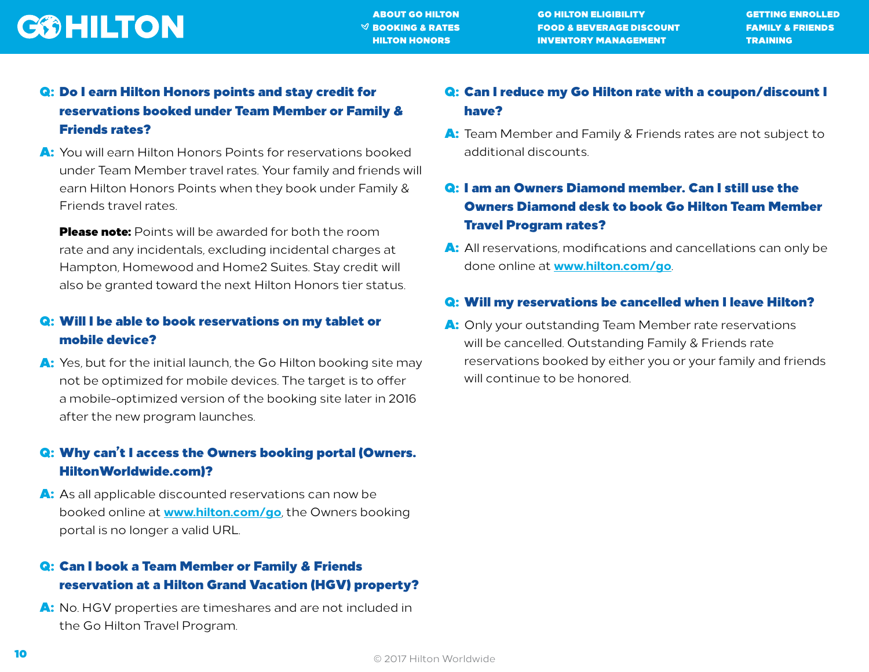

### Q: Do I earn Hilton Honors points and stay credit for reservations booked under Team Member or Family & Friends rates?

A: You will earn Hilton Honors Points for reservations booked under Team Member travel rates. Your family and friends will earn Hilton Honors Points when they book under Family & Friends travel rates.

**Please note:** Points will be awarded for both the room rate and any incidentals, excluding incidental charges at Hampton, Homewood and Home2 Suites. Stay credit will also be granted toward the next Hilton Honors tier status.

### Q: Will I be able to book reservations on my tablet or mobile device?

A: Yes, but for the initial launch, the Go Hilton booking site may not be optimized for mobile devices. The target is to offer a mobile-optimized version of the booking site later in 2016 after the new program launches.

### Q: Why can't I access the Owners booking portal (Owners. HiltonWorldwide.com)?

A: As all applicable discounted reservations can now be booked online at **[www.hilton.com/go](http://www.hilton.com/go)**, the Owners booking portal is no longer a valid URL.

### Q: Can I book a Team Member or Family & Friends reservation at a Hilton Grand Vacation (HGV) property?

A: No. HGV properties are timeshares and are not included in the Go Hilton Travel Program.

### Q: Can I reduce my Go Hilton rate with a coupon/discount I have?

A: Team Member and Family & Friends rates are not subject to additional discounts.

### Q: I am an Owners Diamond member. Can I still use the Owners Diamond desk to book Go Hilton Team Member Travel Program rates?

A: All reservations, modifications and cancellations can only be done online at **[www.hilton.com/go](http://www.hilton.com/go)**.

#### Q: Will my reservations be cancelled when I leave Hilton?

A: Only your outstanding Team Member rate reservations will be cancelled. Outstanding Family & Friends rate reservations booked by either you or your family and friends will continue to be honored.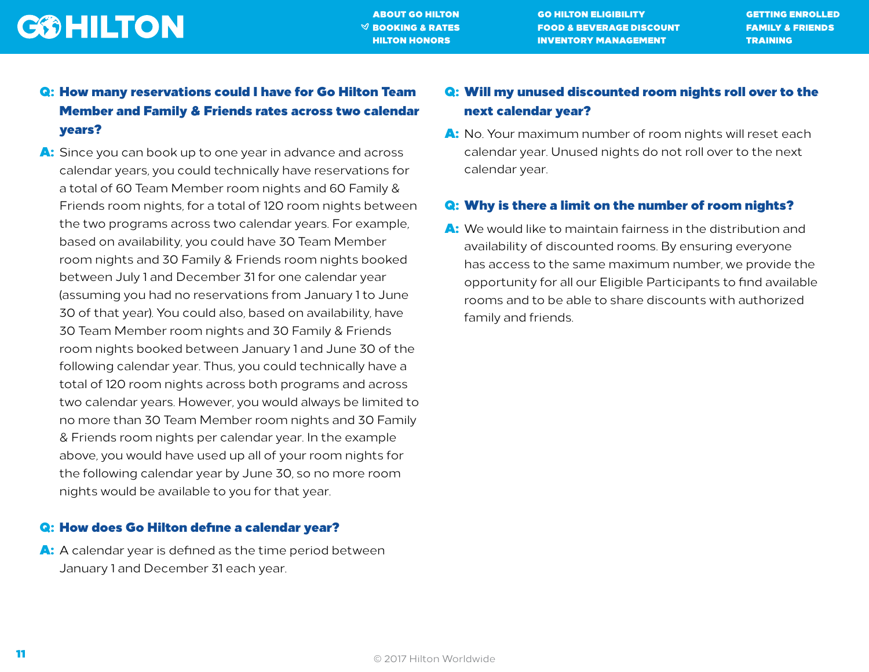[ABOUT GO HILTON](#page-1-0) [GO HILTON ELIGIBILITY](#page-2-0) [GETTING ENROLLED](#page-3-0)  $\heartsuit$  booking & rates food & beverage discount family & Friends **[HILTON HONORS](#page-16-0) [INVENTORY MANAGEMENT](#page-18-0) [TRAINING](#page-22-0)** 

### Q: How many reservations could I have for Go Hilton Team Member and Family & Friends rates across two calendar years?

A: Since you can book up to one year in advance and across calendar years, you could technically have reservations for a total of 60 Team Member room nights and 60 Family & Friends room nights, for a total of 120 room nights between the two programs across two calendar years. For example, based on availability, you could have 30 Team Member room nights and 30 Family & Friends room nights booked between July 1 and December 31 for one calendar year (assuming you had no reservations from January 1 to June 30 of that year). You could also, based on availability, have 30 Team Member room nights and 30 Family & Friends room nights booked between January 1 and June 30 of the following calendar year. Thus, you could technically have a total of 120 room nights across both programs and across two calendar years. However, you would always be limited to no more than 30 Team Member room nights and 30 Family & Friends room nights per calendar year. In the example above, you would have used up all of your room nights for the following calendar year by June 30, so no more room nights would be available to you for that year.

#### Q: How does Go Hilton define a calendar year?

A: A calendar year is defined as the time period between January 1 and December 31 each year.

### Q: Will my unused discounted room nights roll over to the next calendar year?

A: No. Your maximum number of room nights will reset each calendar year. Unused nights do not roll over to the next calendar year.

### Q: Why is there a limit on the number of room nights?

A: We would like to maintain fairness in the distribution and availability of discounted rooms. By ensuring everyone has access to the same maximum number, we provide the opportunity for all our Eligible Participants to find available rooms and to be able to share discounts with authorized family and friends.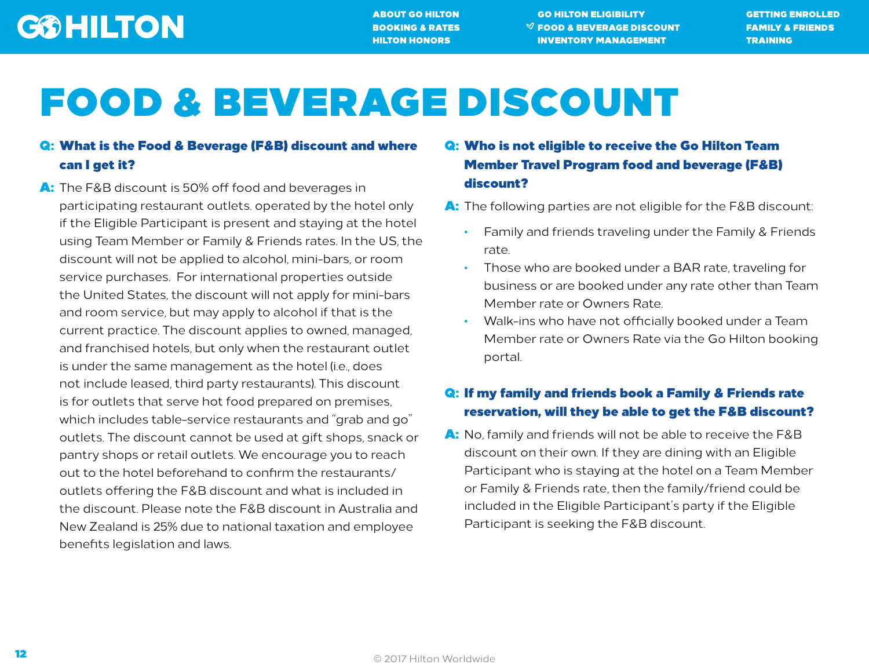[ABOUT GO HILTON](#page-1-0) [GO HILTON ELIGIBILITY](#page-2-0) [GETTING ENROLLED](#page-3-0) [BOOKING & RATES](#page-4-0)  $\blacksquare$   $\blacksquare$  [FOOD & BEVERAGE DISCOUNT](#page-11-0) [FAMILY & FRIENDS](#page-13-0) **[HILTON HONORS](#page-16-0) [INVENTORY MANAGEMENT](#page-18-0) [TRAINING](#page-22-0)** 

# <span id="page-11-0"></span>FOOD & BEVERAGE DISCOUNT

### Q: What is the Food & Beverage (F&B) discount and where can I get it?

A: The F&B discount is 50% off food and beverages in participating restaurant outlets. operated by the hotel only if the Eligible Participant is present and staying at the hotel using Team Member or Family & Friends rates. In the US, the discount will not be applied to alcohol, mini-bars, or room service purchases. For international properties outside the United States, the discount will not apply for mini-bars and room service, but may apply to alcohol if that is the current practice. The discount applies to owned, managed, and franchised hotels, but only when the restaurant outlet is under the same management as the hotel (i.e., does not include leased, third party restaurants). This discount is for outlets that serve hot food prepared on premises, which includes table-service restaurants and "grab and go" outlets. The discount cannot be used at gift shops, snack or pantry shops or retail outlets. We encourage you to reach out to the hotel beforehand to confirm the restaurants/ outlets offering the F&B discount and what is included in the discount. Please note the F&B discount in Australia and New Zealand is 25% due to national taxation and employee benefits legislation and laws.

### Q: Who is not eligible to receive the Go Hilton Team Member Travel Program food and beverage (F&B) discount?

- A: The following parties are not eligible for the F&B discount:
	- Family and friends traveling under the Family & Friends rate.
	- Those who are booked under a BAR rate, traveling for business or are booked under any rate other than Team Member rate or Owners Rate.
	- Walk-ins who have not officially booked under a Team Member rate or Owners Rate via the Go Hilton booking portal.

### Q: If my family and friends book a Family & Friends rate reservation, will they be able to get the F&B discount?

A: No, family and friends will not be able to receive the F&B discount on their own. If they are dining with an Eligible Participant who is staying at the hotel on a Team Member or Family & Friends rate, then the family/friend could be included in the Eligible Participant's party if the Eligible Participant is seeking the F&B discount.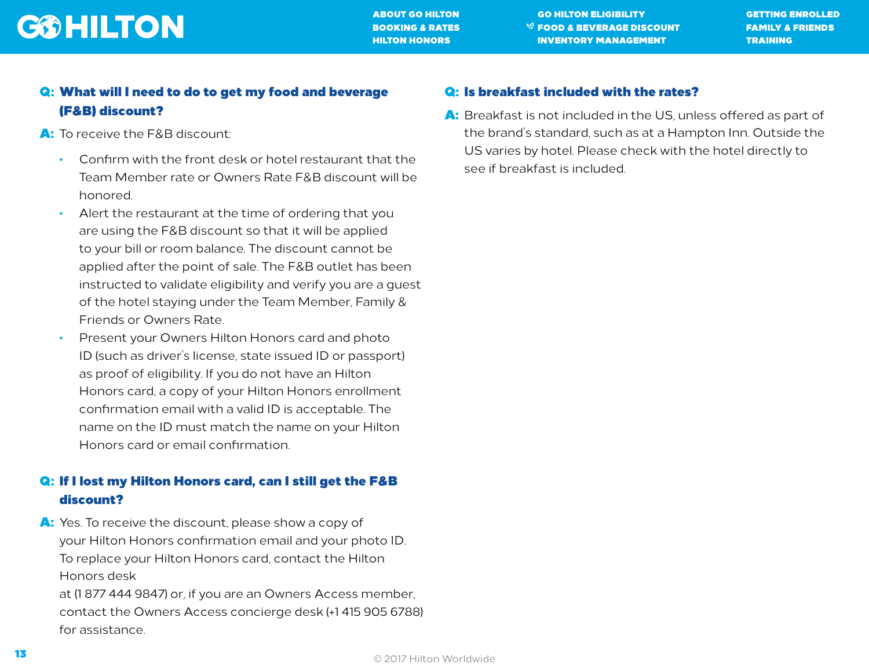

[ABOUT GO HILTON](#page-1-0) [GO HILTON ELIGIBILITY](#page-2-0) [GETTING ENROLLED](#page-3-0) [BOOKING & RATES](#page-4-0) GOD & BEVERAGE DISCOUNT [FAMILY & FRIENDS](#page-13-0) **[HILTON HONORS](#page-16-0) [INVENTORY MANAGEMENT](#page-18-0) [TRAINING](#page-22-0)** 

### Q: What will I need to do to get my food and beverage (F&B) discount?

- A: To receive the F&B discount:
	- Confirm with the front desk or hotel restaurant that the Team Member rate or Owners Rate F&B discount will be honored.
	- Alert the restaurant at the time of ordering that you are using the F&B discount so that it will be applied to your bill or room balance. The discount cannot be applied after the point of sale. The F&B outlet has been instructed to validate eligibility and verify you are a guest of the hotel staying under the Team Member, Family & Friends or Owners Rate.
	- Present your Owners Hilton Honors card and photo ID (such as driver's license, state issued ID or passport) as proof of eligibility. If you do not have an Hilton Honors card, a copy of your Hilton Honors enrollment confirmation email with a valid ID is acceptable. The name on the ID must match the name on your Hilton Honors card or email confirmation.

### Q: If I lost my Hilton Honors card, can I still get the F&B discount?

A: Yes. To receive the discount, please show a copy of your Hilton Honors confirmation email and your photo ID. To replace your Hilton Honors card, contact the Hilton Honors desk at (1 877 444 9847) or, if you are an Owners Access member,

contact the Owners Access concierge desk (+1 415 905 6788) for assistance.

#### Q: Is breakfast included with the rates?

A: Breakfast is not included in the US, unless offered as part of the brand's standard, such as at a Hampton Inn. Outside the US varies by hotel. Please check with the hotel directly to see if breakfast is included.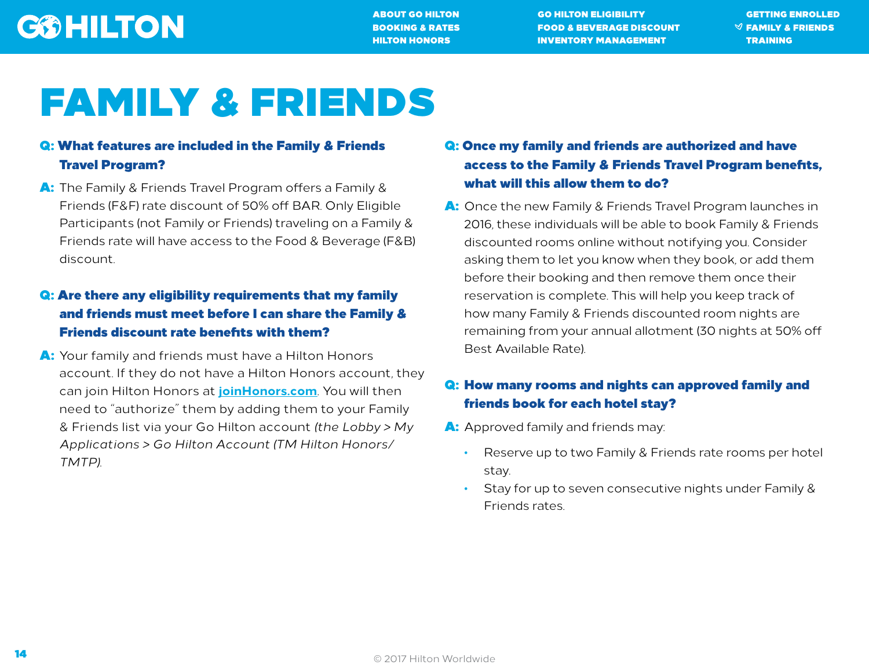[ABOUT GO HILTON](#page-1-0) [GO HILTON ELIGIBILITY](#page-2-0) [GETTING ENROLLED](#page-3-0) [BOOKING & RATES](#page-4-0) [FOOD & BEVERAGE DISCOUNT](#page-11-0) [FAMILY & FRIENDS](#page-13-0) **[HILTON HONORS](#page-16-0) [INVENTORY MANAGEMENT](#page-18-0) [TRAINING](#page-22-0)** 

# <span id="page-13-0"></span>FAMILY & FRIENDS

### Q: What features are included in the Family & Friends Travel Program?

A: The Family & Friends Travel Program offers a Family & Friends (F&F) rate discount of 50% off BAR. Only Eligible Participants (not Family or Friends) traveling on a Family & Friends rate will have access to the Food & Beverage (F&B) discount.

### Q: Are there any eligibility requirements that my family and friends must meet before I can share the Family & Friends discount rate benefits with them?

A: Your family and friends must have a Hilton Honors account. If they do not have a Hilton Honors account, they can join Hilton Honors at **[joinHonors.co](https://secure3.hilton.com/en/hh/customer/join/joinHHonors.htm)m**. You will then need to "authorize" them by adding them to your Family & Friends list via your Go Hilton account *(the Lobby > My Applications > Go Hilton Account (TM Hilton Honors/ TMTP)*.

### Q: Once my family and friends are authorized and have access to the Family & Friends Travel Program benefits, what will this allow them to do?

A: Once the new Family & Friends Travel Program launches in 2016, these individuals will be able to book Family & Friends discounted rooms online without notifying you. Consider asking them to let you know when they book, or add them before their booking and then remove them once their reservation is complete. This will help you keep track of how many Family & Friends discounted room nights are remaining from your annual allotment (30 nights at 50% off Best Available Rate).

### Q: How many rooms and nights can approved family and friends book for each hotel stay?

- A: Approved family and friends may:
	- Reserve up to two Family & Friends rate rooms per hotel stay.
	- Stay for up to seven consecutive nights under Family & Friends rates.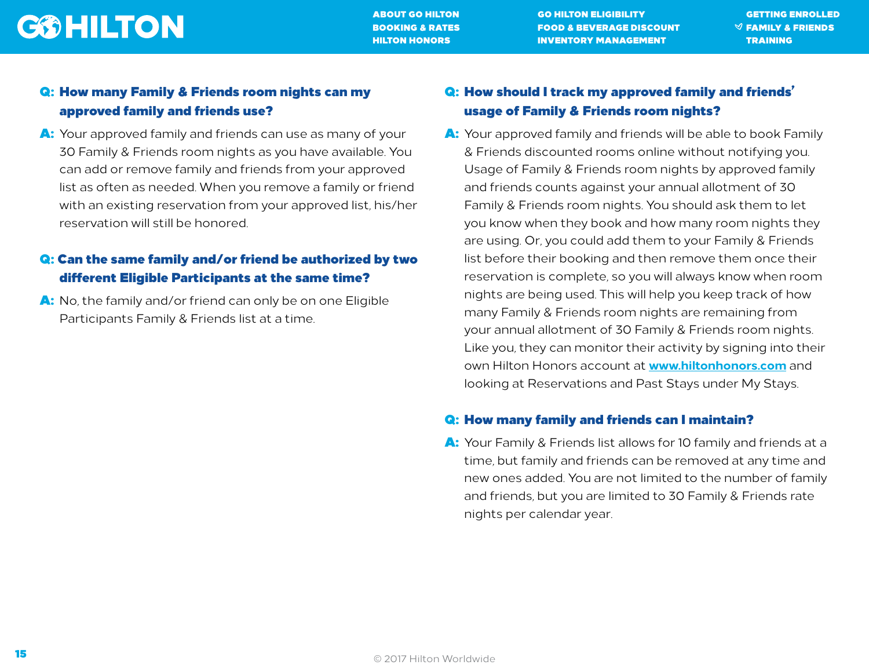[ABOUT GO HILTON](#page-1-0) [GO HILTON ELIGIBILITY](#page-2-0) [GETTING ENROLLED](#page-3-0) [BOOKING & RATES](#page-4-0) [FOOD & BEVERAGE DISCOUNT](#page-11-0) [FAMILY & FRIENDS](#page-13-0) **[HILTON HONORS](#page-16-0) [INVENTORY MANAGEMENT](#page-18-0) [TRAINING](#page-22-0)** 

### Q: How many Family & Friends room nights can my approved family and friends use?

A: Your approved family and friends can use as many of your 30 Family & Friends room nights as you have available. You can add or remove family and friends from your approved list as often as needed. When you remove a family or friend with an existing reservation from your approved list, his/her reservation will still be honored.

### Q: Can the same family and/or friend be authorized by two different Eligible Participants at the same time?

A: No, the family and/or friend can only be on one Eligible Participants Family & Friends list at a time.

### Q: How should I track my approved family and friends' usage of Family & Friends room nights?

A: Your approved family and friends will be able to book Family & Friends discounted rooms online without notifying you. Usage of Family & Friends room nights by approved family and friends counts against your annual allotment of 30 Family & Friends room nights. You should ask them to let you know when they book and how many room nights they are using. Or, you could add them to your Family & Friends list before their booking and then remove them once their reservation is complete, so you will always know when room nights are being used. This will help you keep track of how many Family & Friends room nights are remaining from your annual allotment of 30 Family & Friends room nights. Like you, they can monitor their activity by signing into their own Hilton Honors account at **[www.hiltonhonors.com](http://www.hiltonhonors.com)** and looking at Reservations and Past Stays under My Stays.

#### Q: How many family and friends can I maintain?

A: Your Family & Friends list allows for 10 family and friends at a time, but family and friends can be removed at any time and new ones added. You are not limited to the number of family and friends, but you are limited to 30 Family & Friends rate nights per calendar year.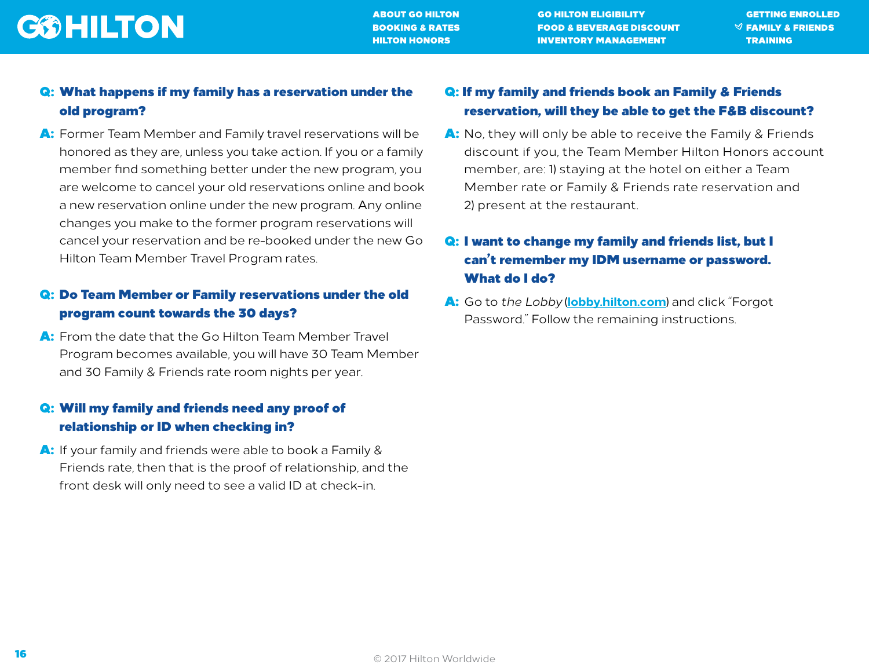[ABOUT GO HILTON](#page-1-0) [GO HILTON ELIGIBILITY](#page-2-0) [GETTING ENROLLED](#page-3-0) [BOOKING & RATES](#page-4-0) [FOOD & BEVERAGE DISCOUNT](#page-11-0)  $\mathbb{V}$  family & Friends [HILTON HONORS](#page-16-0) [INVENTORY MANAGEMENT](#page-18-0) [TRAINING](#page-22-0)

### Q: What happens if my family has a reservation under the old program?

A: Former Team Member and Family travel reservations will be honored as they are, unless you take action. If you or a family member find something better under the new program, you are welcome to cancel your old reservations online and book a new reservation online under the new program. Any online changes you make to the former program reservations will cancel your reservation and be re-booked under the new Go Hilton Team Member Travel Program rates.

### Q: Do Team Member or Family reservations under the old program count towards the 30 days?

A: From the date that the Go Hilton Team Member Travel Program becomes available, you will have 30 Team Member and 30 Family & Friends rate room nights per year.

### Q: Will my family and friends need any proof of relationship or ID when checking in?

A: If your family and friends were able to book a Family & Friends rate, then that is the proof of relationship, and the front desk will only need to see a valid ID at check-in.

### Q: If my family and friends book an Family & Friends reservation, will they be able to get the F&B discount?

A: No, they will only be able to receive the Family & Friends discount if you, the Team Member Hilton Honors account member, are: 1) staying at the hotel on either a Team Member rate or Family & Friends rate reservation and 2) present at the restaurant.

### Q: I want to change my family and friends list, but I can't remember my IDM username or password. What do I do?

A: Go to *the Lobby* (**[lobby.hilton.com](https://lobby.hilton.com)**) and click "Forgot Password." Follow the remaining instructions.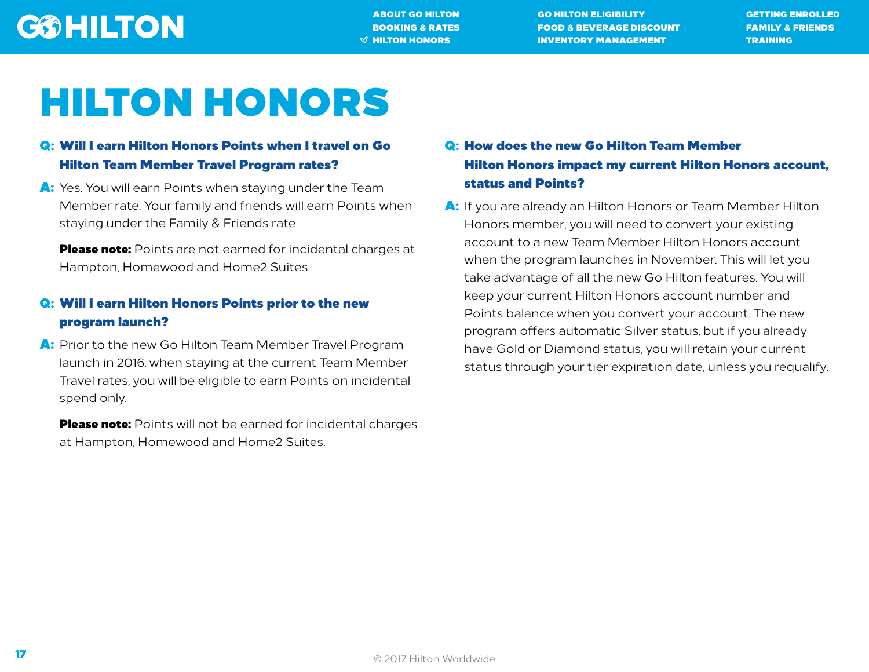[ABOUT GO HILTON](#page-1-0) [GO HILTON ELIGIBILITY](#page-2-0) [GETTING ENROLLED](#page-3-0) [BOOKING & RATES](#page-4-0) [FOOD & BEVERAGE DISCOUNT](#page-11-0) [FAMILY & FRIENDS](#page-13-0)  $\mathcal A$  Hilton Honors  $\mathcal A$  inventory management  $\mathcal A$  training

# <span id="page-16-0"></span>HILTON HONORS

### Q: Will I earn Hilton Honors Points when I travel on Go Hilton Team Member Travel Program rates?

A: Yes. You will earn Points when staying under the Team Member rate. Your family and friends will earn Points when staying under the Family & Friends rate.

Please note: Points are not earned for incidental charges at Hampton, Homewood and Home2 Suites.

### Q: Will I earn Hilton Honors Points prior to the new program launch?

A: Prior to the new Go Hilton Team Member Travel Program launch in 2016, when staying at the current Team Member Travel rates, you will be eligible to earn Points on incidental spend only.

**Please note:** Points will not be earned for incidental charges at Hampton, Homewood and Home2 Suites.

### Q: How does the new Go Hilton Team Member Hilton Honors impact my current Hilton Honors account, status and Points?

A: If you are already an Hilton Honors or Team Member Hilton Honors member, you will need to convert your existing account to a new Team Member Hilton Honors account when the program launches in November. This will let you take advantage of all the new Go Hilton features. You will keep your current Hilton Honors account number and Points balance when you convert your account. The new program offers automatic Silver status, but if you already have Gold or Diamond status, you will retain your current status through your tier expiration date, unless you requalify.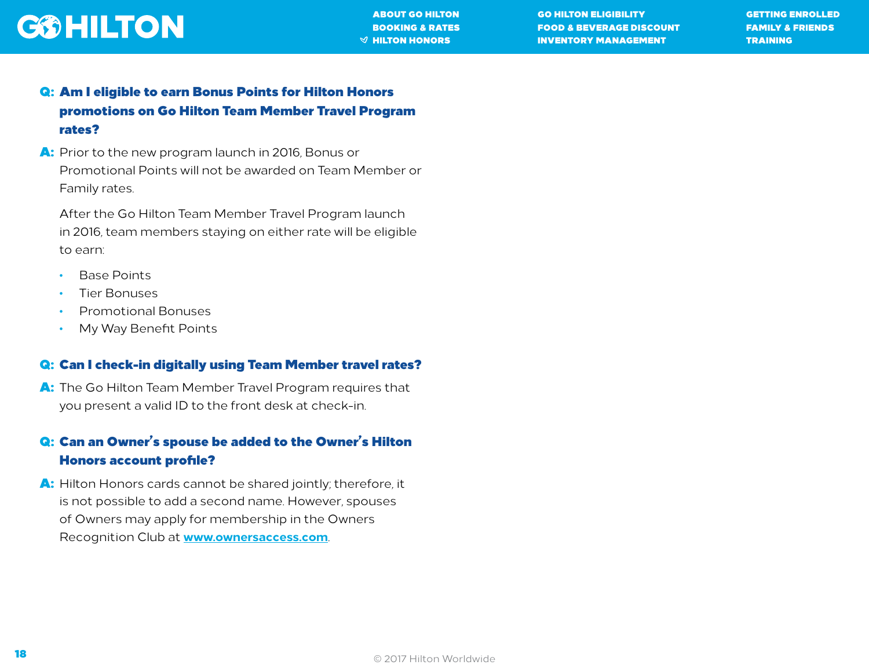

[ABOUT GO HILTON](#page-1-0) [GO HILTON ELIGIBILITY](#page-2-0) [GETTING ENROLLED](#page-3-0) [BOOKING & RATES](#page-4-0) [FOOD & BEVERAGE DISCOUNT](#page-11-0) [FAMILY & FRIENDS](#page-13-0)  $\mathcal A$  Hilton Honors  $\mathcal A$  inventory management  $\mathcal A$  training

- Q: Am I eligible to earn Bonus Points for Hilton Honors promotions on Go Hilton Team Member Travel Program rates?
- A: Prior to the new program launch in 2016, Bonus or Promotional Points will not be awarded on Team Member or Family rates.

After the Go Hilton Team Member Travel Program launch in 2016, team members staying on either rate will be eligible to earn:

- Base Points
- Tier Bonuses
- Promotional Bonuses
- My Way Benefit Points

### Q: Can I check-in digitally using Team Member travel rates?

A: The Go Hilton Team Member Travel Program requires that you present a valid ID to the front desk at check-in.

### Q: Can an Owner's spouse be added to the Owner's Hilton Honors account profile?

A: Hilton Honors cards cannot be shared jointly; therefore, it is not possible to add a second name. However, spouses of Owners may apply for membership in the Owners Recognition Club at **[www.ownersaccess.com](http://www.ownersaccess.com/)**.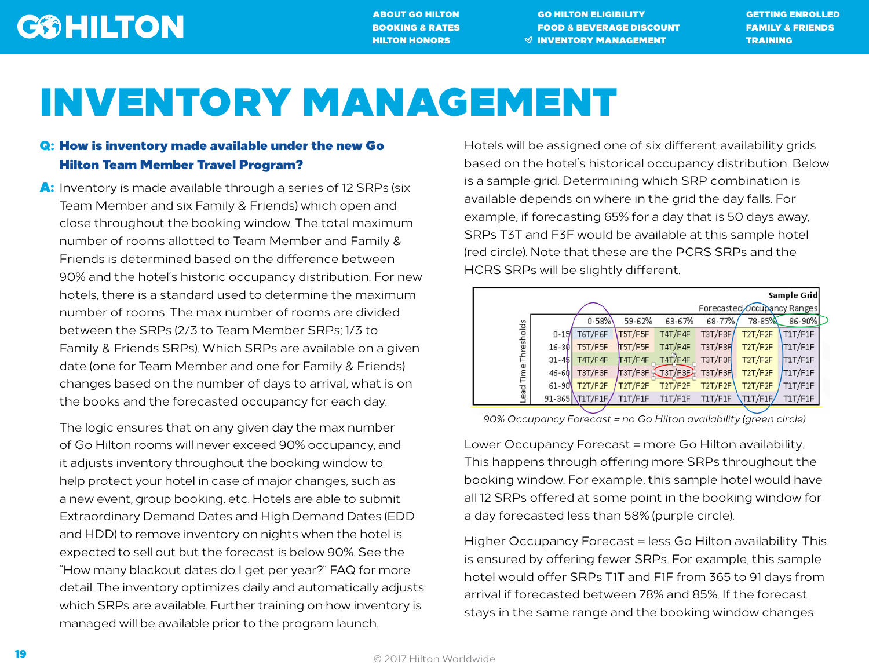[ABOUT GO HILTON](#page-1-0) [GO HILTON ELIGIBILITY](#page-2-0) [GETTING ENROLLED](#page-3-0) [BOOKING & RATES](#page-4-0) [FOOD & BEVERAGE DISCOUNT](#page-11-0) [FAMILY & FRIENDS](#page-13-0) [HILTON HONORS](#page-16-0) GET THE SUMMON SET AND [TRAINING](#page-22-0) SET AND TRAINING  $\mathcal O$  inventory management  $\mathcal O$ 

# <span id="page-18-0"></span>INVENTORY MANAGEMENT

### Q: How is inventory made available under the new Go Hilton Team Member Travel Program?

A: Inventory is made available through a series of 12 SRPs (six Team Member and six Family & Friends) which open and close throughout the booking window. The total maximum number of rooms allotted to Team Member and Family & Friends is determined based on the difference between 90% and the hotel's historic occupancy distribution. For new hotels, there is a standard used to determine the maximum number of rooms. The max number of rooms are divided between the SRPs (2/3 to Team Member SRPs; 1/3 to Family & Friends SRPs). Which SRPs are available on a given date (one for Team Member and one for Family & Friends) changes based on the number of days to arrival, what is on the books and the forecasted occupancy for each day.

The logic ensures that on any given day the max number of Go Hilton rooms will never exceed 90% occupancy, and it adjusts inventory throughout the booking window to help protect your hotel in case of major changes, such as a new event, group booking, etc. Hotels are able to submit Extraordinary Demand Dates and High Demand Dates (EDD and HDD) to remove inventory on nights when the hotel is expected to sell out but the forecast is below 90%. See the "How many blackout dates do I get per year?" FAQ for more detail. The inventory optimizes daily and automatically adjusts which SRPs are available. Further training on how inventory is managed will be available prior to the program launch.

Hotels will be assigned one of six different availability grids based on the hotel's historical occupancy distribution. Below is a sample grid. Determining which SRP combination is available depends on where in the grid the day falls. For example, if forecasting 65% for a day that is 50 days away, SRPs T3T and F3F would be available at this sample hotel (red circle). Note that these are the PCRS SRPs and the HCRS SRPs will be slightly different.

|                   |           |                 |         |                             |            |          | Sample Grid |
|-------------------|-----------|-----------------|---------|-----------------------------|------------|----------|-------------|
|                   |           |                 |         | Forecasted Occupancy Ranges |            |          |             |
|                   |           | $0 - 58%$       | 59-62%  | 63-67%                      | $68 - 77%$ | 78-85%   | 86-90%      |
| Time Thresholds   | $0 - 15$  | T6T/F6F         | T5T/F5F | T4T/F4F                     | T3T/F3F    | T2T/F2F  | T1T/F1F     |
|                   | $16 - 30$ | T5T/F5F         | T5T/F5F | T4T/F4F                     | T3T/F3F    | T2T/F2F  | T1T/F1F     |
|                   | $31 - 45$ | T4T/F4F         | T4T/F4F | T4T/F4F                     | T3T/F3R    | T2T/F2F  | T1T/F1F     |
|                   | $46 - 60$ | T3T/F3F         |         | T3T/F3F 13T/F3E             | T3T/F3F    | T2T/F2F  | T1T/F1F     |
|                   | 61-90     | T2T/F2F         | T2T/F2F | T2T/F2F                     | T2T/F2F    | T2T/F2F  | T1T/F1F     |
| Lead <sup>-</sup> |           | 91-365 T1T/F1F/ | T1T/F1F | <b>T1T/F1F</b>              | T1T/F1F    | T1T/F1F/ | T1T/F1F     |

 *90% Occupancy Forecast = no Go Hilton availability (green circle)*

Lower Occupancy Forecast = more Go Hilton availability. This happens through offering more SRPs throughout the booking window. For example, this sample hotel would have all 12 SRPs offered at some point in the booking window for a day forecasted less than 58% (purple circle).

Higher Occupancy Forecast = less Go Hilton availability. This is ensured by offering fewer SRPs. For example, this sample hotel would offer SRPs T1T and F1F from 365 to 91 days from arrival if forecasted between 78% and 85%. If the forecast stays in the same range and the booking window changes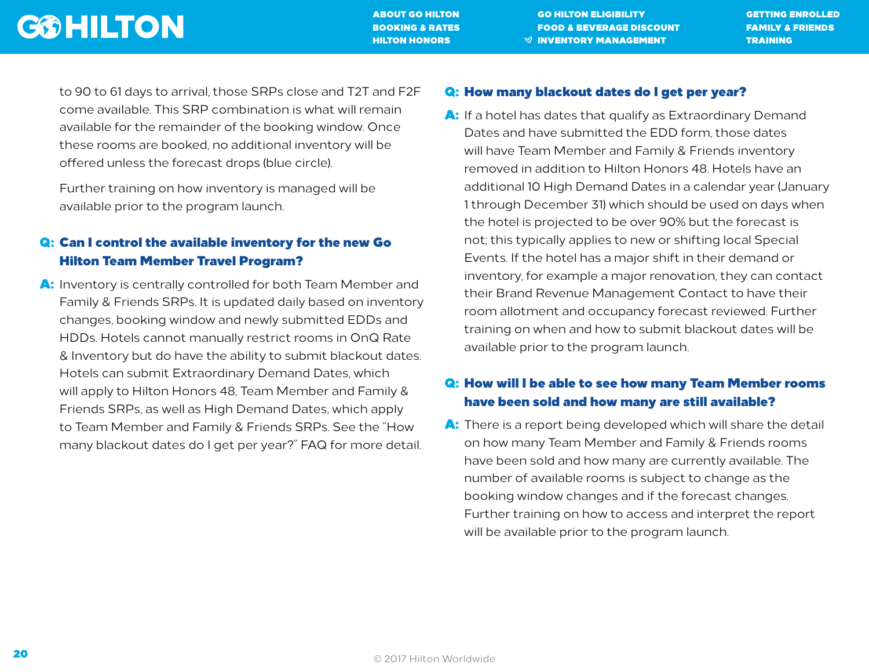[ABOUT GO HILTON](#page-1-0) [GO HILTON ELIGIBILITY](#page-2-0) [GETTING ENROLLED](#page-3-0) [BOOKING & RATES](#page-4-0) [FOOD & BEVERAGE DISCOUNT](#page-11-0) [FAMILY & FRIENDS](#page-13-0) [HILTON HONORS](#page-16-0) SERVICE OF MANAGEMENT S[TRAINING](#page-22-0)

to 90 to 61 days to arrival, those SRPs close and T2T and F2F come available. This SRP combination is what will remain available for the remainder of the booking window. Once these rooms are booked, no additional inventory will be offered unless the forecast drops (blue circle).

Further training on how inventory is managed will be available prior to the program launch.

### Q: Can I control the available inventory for the new Go Hilton Team Member Travel Program?

A: Inventory is centrally controlled for both Team Member and Family & Friends SRPs. It is updated daily based on inventory changes, booking window and newly submitted EDDs and HDDs. Hotels cannot manually restrict rooms in OnQ Rate & Inventory but do have the ability to submit blackout dates. Hotels can submit Extraordinary Demand Dates, which will apply to Hilton Honors 48, Team Member and Family & Friends SRPs, as well as High Demand Dates, which apply to Team Member and Family & Friends SRPs. See the "How many blackout dates do I get per year?" FAQ for more detail.

#### Q: How many blackout dates do I get per year?

A: If a hotel has dates that qualify as Extraordinary Demand Dates and have submitted the EDD form, those dates will have Team Member and Family & Friends inventory removed in addition to Hilton Honors 48. Hotels have an additional 10 High Demand Dates in a calendar year (January 1 through December 31) which should be used on days when the hotel is projected to be over 90% but the forecast is not; this typically applies to new or shifting local Special Events. If the hotel has a major shift in their demand or inventory, for example a major renovation, they can contact their Brand Revenue Management Contact to have their room allotment and occupancy forecast reviewed. Further training on when and how to submit blackout dates will be available prior to the program launch.

### Q: How will I be able to see how many Team Member rooms have been sold and how many are still available?

A: There is a report being developed which will share the detail on how many Team Member and Family & Friends rooms have been sold and how many are currently available. The number of available rooms is subject to change as the booking window changes and if the forecast changes. Further training on how to access and interpret the report will be available prior to the program launch.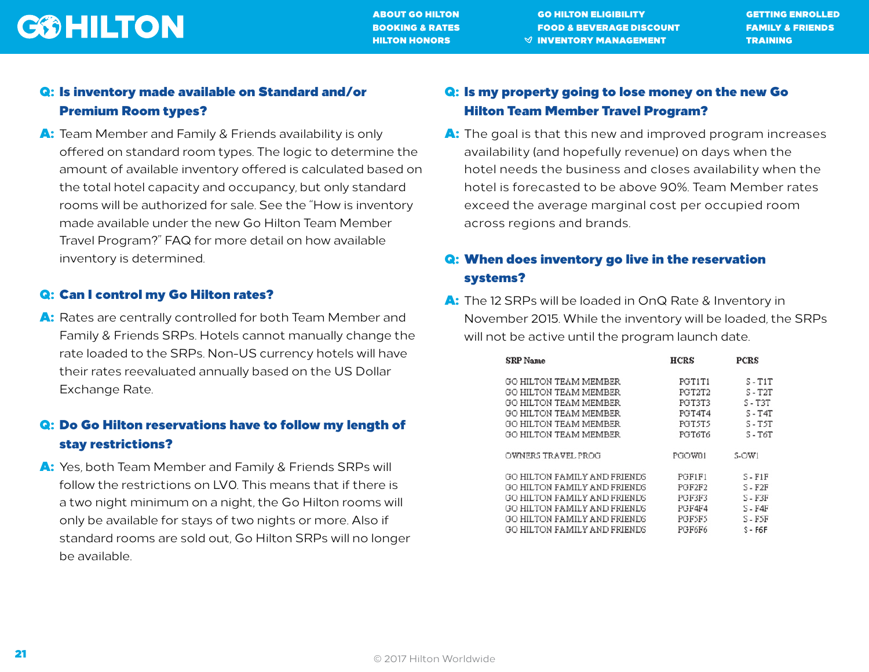[ABOUT GO HILTON](#page-1-0) [GO HILTON ELIGIBILITY](#page-2-0) [GETTING ENROLLED](#page-3-0) [BOOKING & RATES](#page-4-0) [FOOD & BEVERAGE DISCOUNT](#page-11-0) [FAMILY & FRIENDS](#page-13-0) [HILTON HONORS](#page-16-0) GENERAL SUMMENTORY MANAGEMENT S[TRAINING](#page-22-0)

### Q: Is inventory made available on Standard and/or Premium Room types?

A: Team Member and Family & Friends availability is only offered on standard room types. The logic to determine the amount of available inventory offered is calculated based on the total hotel capacity and occupancy, but only standard rooms will be authorized for sale. See the "How is inventory made available under the new Go Hilton Team Member Travel Program?" FAQ for more detail on how available inventory is determined.

#### Q: Can I control my Go Hilton rates?

A: Rates are centrally controlled for both Team Member and Family & Friends SRPs. Hotels cannot manually change the rate loaded to the SRPs. Non-US currency hotels will have their rates reevaluated annually based on the US Dollar Exchange Rate.

### Q: Do Go Hilton reservations have to follow my length of stay restrictions?

A: Yes, both Team Member and Family & Friends SRPs will follow the restrictions on LVO. This means that if there is a two night minimum on a night, the Go Hilton rooms will only be available for stays of two nights or more. Also if standard rooms are sold out, Go Hilton SRPs will no longer be available.

### Q: Is my property going to lose money on the new Go Hilton Team Member Travel Program?

A: The goal is that this new and improved program increases availability (and hopefully revenue) on days when the hotel needs the business and closes availability when the hotel is forecasted to be above 90%. Team Member rates exceed the average marginal cost per occupied room across regions and brands.

### Q: When does inventory go live in the reservation systems?

A: The 12 SRPs will be loaded in OnQ Rate & Inventory in November 2015. While the inventory will be loaded, the SRPs will not be active until the program launch date.

| <b>SRP</b> Name              | HCRS          | PCRS      |
|------------------------------|---------------|-----------|
| GO HILTON TEAM MEMBER        | PGT1T1        | $S - T1T$ |
| GO HILTON TEAM MEMBER        | PGT2T2        | $S - T2T$ |
| GO HILTON TEAM MEMBER        | PGT3T3        | $S - T3T$ |
| GO HILTON TEAM MEMBER        | PGT4T4        | $S - T4T$ |
| GO HILTON TEAM MEMBER        | <b>PGT5T5</b> | $S - TST$ |
| GO HILTON TEAM MEMBER        | PGT6T6        | $S - T6T$ |
| OWNERS TRAVEL PROG           | PGOW01        | S-OW1     |
| GO HILTON FAMILY AND FRIENDS | PGF1F1        | $S - F1F$ |
| GO HILTON FAMILY AND FRIENDS | PGF2F2        | $S - F2F$ |
| GO HILTON FAMILY AND FRIENDS | PGF3F3        | S - F3F   |
| GO HILTON FAMILY AND FRIENDS | PGF4F4        | $S - F4F$ |
| GO HILTON FAMILY AND FRIENDS | PGFSFS        | S - FSF   |
| GO HILTON FAMILY AND FRIENDS | PGF6F6        | $S - F6F$ |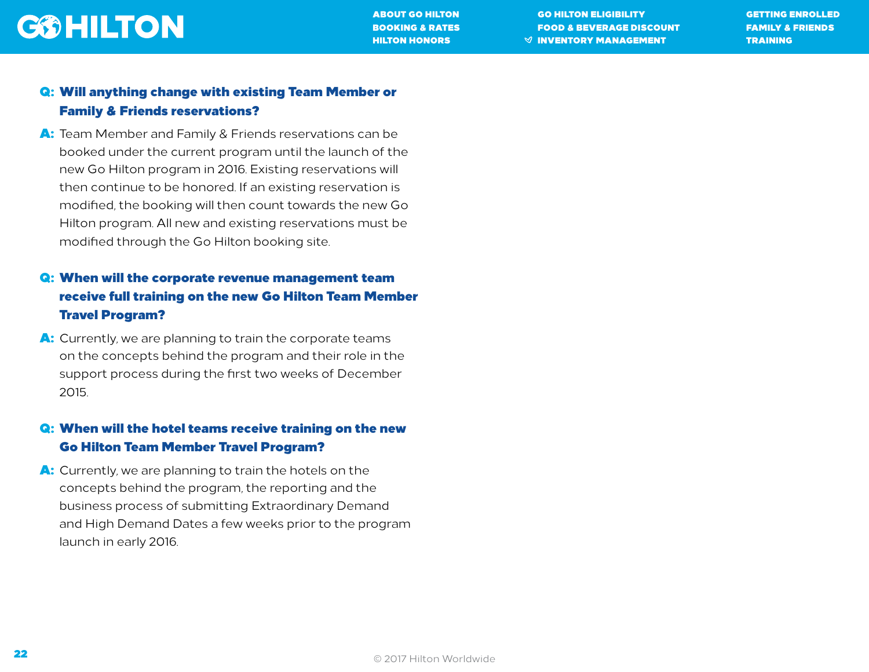[ABOUT GO HILTON](#page-1-0) [GO HILTON ELIGIBILITY](#page-2-0) [GETTING ENROLLED](#page-3-0) [BOOKING & RATES](#page-4-0) [FOOD & BEVERAGE DISCOUNT](#page-11-0) [FAMILY & FRIENDS](#page-13-0) [HILTON HONORS](#page-16-0) GENERAL SUMMENTORY MANAGEMENT S[TRAINING](#page-22-0)

### Q: Will anything change with existing Team Member or Family & Friends reservations?

A: Team Member and Family & Friends reservations can be booked under the current program until the launch of the new Go Hilton program in 2016. Existing reservations will then continue to be honored. If an existing reservation is modified, the booking will then count towards the new Go Hilton program. All new and existing reservations must be modified through the Go Hilton booking site.

### Q: When will the corporate revenue management team receive full training on the new Go Hilton Team Member Travel Program?

A: Currently, we are planning to train the corporate teams on the concepts behind the program and their role in the support process during the first two weeks of December 2015.

### Q: When will the hotel teams receive training on the new Go Hilton Team Member Travel Program?

A: Currently, we are planning to train the hotels on the concepts behind the program, the reporting and the business process of submitting Extraordinary Demand and High Demand Dates a few weeks prior to the program launch in early 2016.